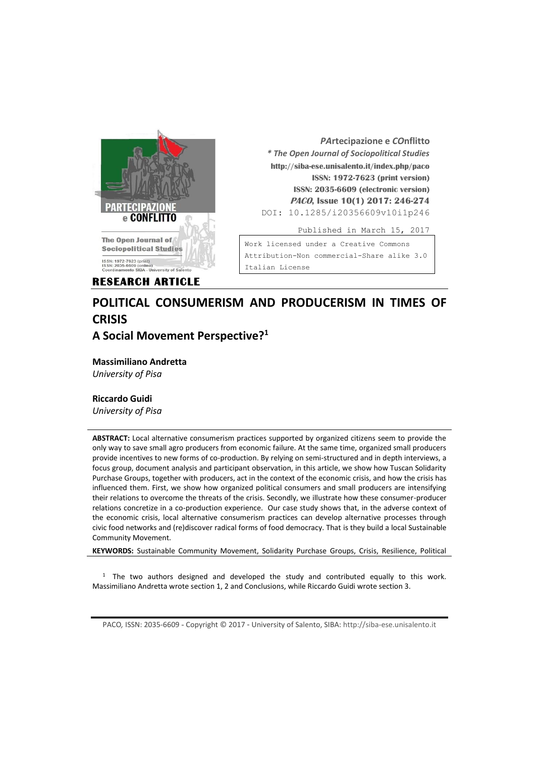

*PA***rtecipazione e** *CO***nflitto** *\* The Open Journal of Sociopolitical Studies* **http://siba-ese.unisalento.it/index.php/paco ISSN: 1972-7623 (print version) ISSN: 2035-6609 (electronic version) PACO, Issue 10(1) 2017: 246-274**  DOI: 10.1285/i20356609v10i1p246 Published in March 15, 2017

Work licensed under a [Creative Commons](http://creativecommons.org/licenses/by-nc-nd/3.0/it/)  [Attribution-Non commercial-Share alike 3.0](http://creativecommons.org/licenses/by-nc-nd/3.0/it/) 

**RESEARCH ARTICLE** 

# [Italian License](http://creativecommons.org/licenses/by-nc-nd/3.0/it/)

# **POLITICAL CONSUMERISM AND PRODUCERISM IN TIMES OF CRISIS A Social Movement Perspective?<sup>1</sup>**

**Massimiliano Andretta**

*University of Pisa*

### **Riccardo Guidi**

*University of Pisa*

**ABSTRACT:** Local alternative consumerism practices supported by organized citizens seem to provide the only way to save small agro producers from economic failure. At the same time, organized small producers provide incentives to new forms of co-production. By relying on semi-structured and in depth interviews, a focus group, document analysis and participant observation, in this article, we show how Tuscan Solidarity Purchase Groups, together with producers, act in the context of the economic crisis, and how the crisis has influenced them. First, we show how organized political consumers and small producers are intensifying their relations to overcome the threats of the crisis. Secondly, we illustrate how these consumer-producer relations concretize in a co-production experience. Our case study shows that, in the adverse context of the economic crisis, local alternative consumerism practices can develop alternative processes through civic food networks and (re)discover radical forms of food democracy. That is they build a local Sustainable Community Movement.

**KEYWORDS:** Sustainable Community Movement, Solidarity Purchase Groups, Crisis, Resilience, Political

 $1$  The two authors designed and developed the study and contributed equally to this work. Massimiliano Andretta wrote section 1, 2 and Conclusions, while Riccardo Guidi wrote section 3.

PACO*,* ISSN: 2035-6609 - Copyright © 2017 - University of Salento, SIBA: http://siba-ese.unisalento.it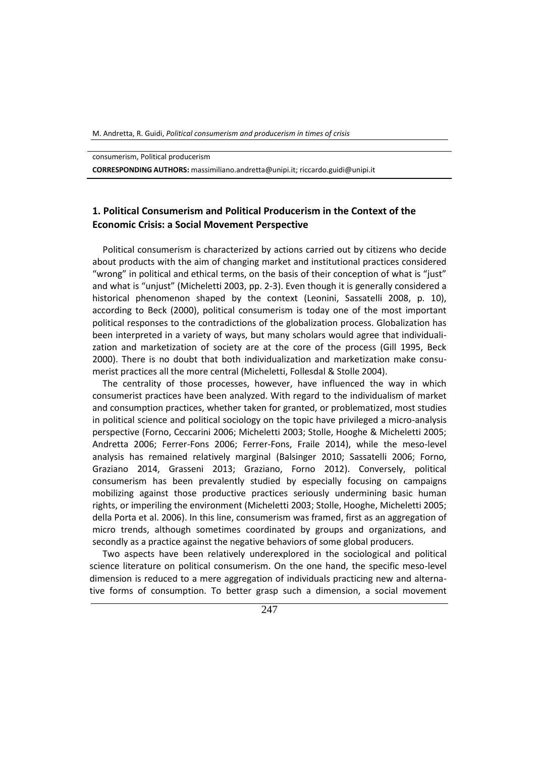consumerism, Political producerism

**CORRESPONDING AUTHORS:** massimiliano.andretta@unipi.it; riccardo.guidi@unipi.it

# **1. Political Consumerism and Political Producerism in the Context of the Economic Crisis: a Social Movement Perspective**

Political consumerism is characterized by actions carried out by citizens who decide about products with the aim of changing market and institutional practices considered "wrong" in political and ethical terms, on the basis of their conception of what is "just" and what is "unjust" (Micheletti 2003, pp. 2-3). Even though it is generally considered a historical phenomenon shaped by the context (Leonini, Sassatelli 2008, p. 10), according to Beck (2000), political consumerism is today one of the most important political responses to the contradictions of the globalization process. Globalization has been interpreted in a variety of ways, but many scholars would agree that individualization and marketization of society are at the core of the process (Gill 1995, Beck 2000). There is no doubt that both individualization and marketization make consumerist practices all the more central (Micheletti, Follesdal & Stolle 2004).

The centrality of those processes, however, have influenced the way in which consumerist practices have been analyzed. With regard to the individualism of market and consumption practices, whether taken for granted, or problematized, most studies in political science and political sociology on the topic have privileged a micro-analysis perspective (Forno, Ceccarini 2006; Micheletti 2003; Stolle, Hooghe & Micheletti 2005; Andretta 2006; Ferrer-Fons 2006; Ferrer-Fons, Fraile 2014), while the meso-level analysis has remained relatively marginal (Balsinger 2010; Sassatelli 2006; Forno, Graziano 2014, Grasseni 2013; Graziano, Forno 2012). Conversely, political consumerism has been prevalently studied by especially focusing on campaigns mobilizing against those productive practices seriously undermining basic human rights, or imperiling the environment (Micheletti 2003; Stolle, Hooghe, Micheletti 2005; della Porta et al. 2006). In this line, consumerism was framed, first as an aggregation of micro trends, although sometimes coordinated by groups and organizations, and secondly as a practice against the negative behaviors of some global producers.

Two aspects have been relatively underexplored in the sociological and political science literature on political consumerism. On the one hand, the specific meso-level dimension is reduced to a mere aggregation of individuals practicing new and alternative forms of consumption. To better grasp such a dimension, a social movement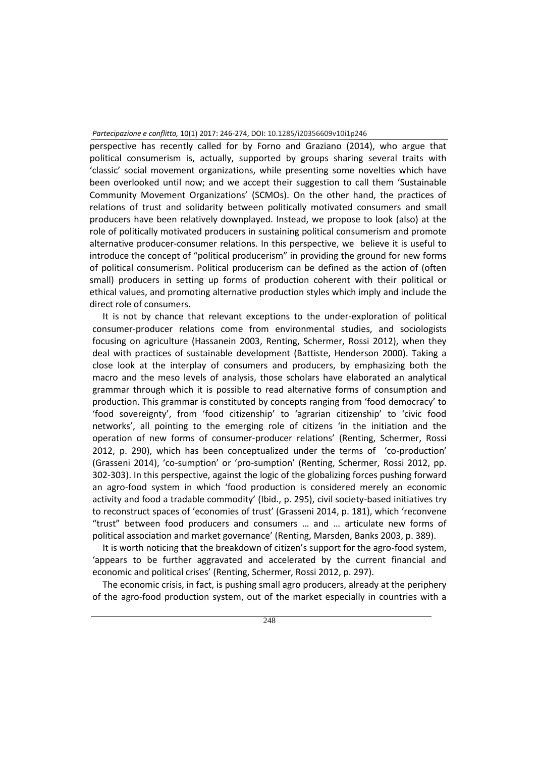perspective has recently called for by Forno and Graziano (2014), who argue that political consumerism is, actually, supported by groups sharing several traits with 'classic' social movement organizations, while presenting some novelties which have been overlooked until now; and we accept their suggestion to call them 'Sustainable Community Movement Organizations' (SCMOs). On the other hand, the practices of relations of trust and solidarity between politically motivated consumers and small producers have been relatively downplayed. Instead, we propose to look (also) at the role of politically motivated producers in sustaining political consumerism and promote alternative producer-consumer relations. In this perspective, we believe it is useful to introduce the concept of "political producerism" in providing the ground for new forms of political consumerism. Political producerism can be defined as the action of (often small) producers in setting up forms of production coherent with their political or ethical values, and promoting alternative production styles which imply and include the direct role of consumers.

It is not by chance that relevant exceptions to the under-exploration of political consumer-producer relations come from environmental studies, and sociologists focusing on agriculture (Hassanein 2003, Renting, Schermer, Rossi 2012), when they deal with practices of sustainable development (Battiste, Henderson 2000). Taking a close look at the interplay of consumers and producers, by emphasizing both the macro and the meso levels of analysis, those scholars have elaborated an analytical grammar through which it is possible to read alternative forms of consumption and production. This grammar is constituted by concepts ranging from 'food democracy' to 'food sovereignty', from 'food citizenship' to 'agrarian citizenship' to 'civic food networks', all pointing to the emerging role of citizens 'in the initiation and the operation of new forms of consumer-producer relations' (Renting, Schermer, Rossi 2012, p. 290), which has been conceptualized under the terms of 'co-production' (Grasseni 2014), 'co-sumption' or 'pro-sumption' (Renting, Schermer, Rossi 2012, pp. 302-303). In this perspective, against the logic of the globalizing forces pushing forward an agro-food system in which 'food production is considered merely an economic activity and food a tradable commodity' (Ibid., p. 295), civil society-based initiatives try to reconstruct spaces of 'economies of trust' (Grasseni 2014, p. 181), which 'reconvene "trust" between food producers and consumers … and … articulate new forms of political association and market governance' (Renting, Marsden, Banks 2003, p. 389).

It is worth noticing that the breakdown of citizen's support for the agro-food system, 'appears to be further aggravated and accelerated by the current financial and economic and political crises' (Renting, Schermer, Rossi 2012, p. 297).

The economic crisis, in fact, is pushing small agro producers, already at the periphery of the agro-food production system, out of the market especially in countries with a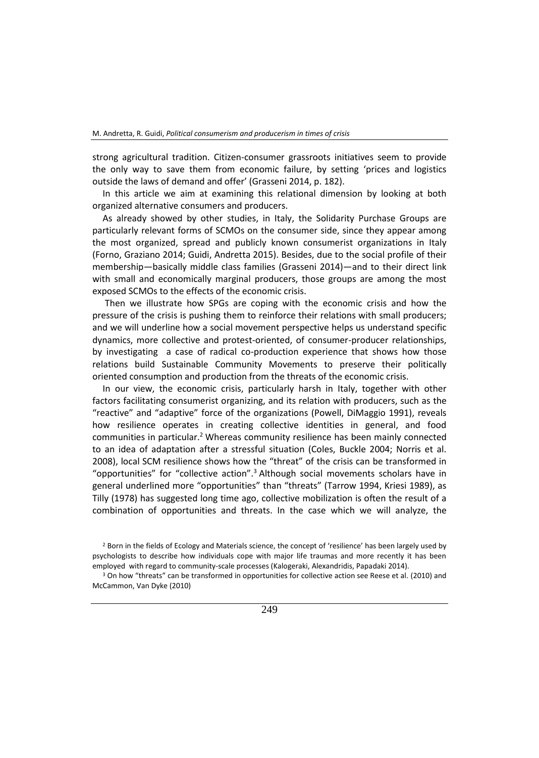strong agricultural tradition. Citizen-consumer grassroots initiatives seem to provide the only way to save them from economic failure, by setting 'prices and logistics outside the laws of demand and offer' (Grasseni 2014, p. 182).

In this article we aim at examining this relational dimension by looking at both organized alternative consumers and producers.

As already showed by other studies, in Italy, the Solidarity Purchase Groups are particularly relevant forms of SCMOs on the consumer side, since they appear among the most organized, spread and publicly known consumerist organizations in Italy (Forno, Graziano 2014; Guidi, Andretta 2015). Besides, due to the social profile of their membership―basically middle class families (Grasseni 2014)―and to their direct link with small and economically marginal producers, those groups are among the most exposed SCMOs to the effects of the economic crisis.

Then we illustrate how SPGs are coping with the economic crisis and how the pressure of the crisis is pushing them to reinforce their relations with small producers; and we will underline how a social movement perspective helps us understand specific dynamics, more collective and protest-oriented, of consumer-producer relationships, by investigating a case of radical co-production experience that shows how those relations build Sustainable Community Movements to preserve their politically oriented consumption and production from the threats of the economic crisis.

In our view, the economic crisis, particularly harsh in Italy, together with other factors facilitating consumerist organizing, and its relation with producers, such as the "reactive" and "adaptive" force of the organizations (Powell, DiMaggio 1991), reveals how resilience operates in creating collective identities in general, and food communities in particular.<sup>2</sup> Whereas community resilience has been mainly connected to an idea of adaptation after a stressful situation (Coles, Buckle 2004; Norris et al. 2008), local SCM resilience shows how the "threat" of the crisis can be transformed in "opportunities" for "collective action".<sup>3</sup> Although social movements scholars have in general underlined more "opportunities" than "threats" (Tarrow 1994, Kriesi 1989), as Tilly (1978) has suggested long time ago, collective mobilization is often the result of a combination of opportunities and threats. In the case which we will analyze, the

<sup>&</sup>lt;sup>3</sup> On how "threats" can be transformed in opportunities for collective action see Reese et al. (2010) and McCammon, Van Dyke (2010)



<sup>&</sup>lt;sup>2</sup> Born in the fields of Ecology and Materials science, the concept of 'resilience' has been largely used by psychologists to describe how individuals cope with major life traumas and more recently it has been employed with regard to community-scale processes (Kalogeraki, Alexandridis, Papadaki 2014).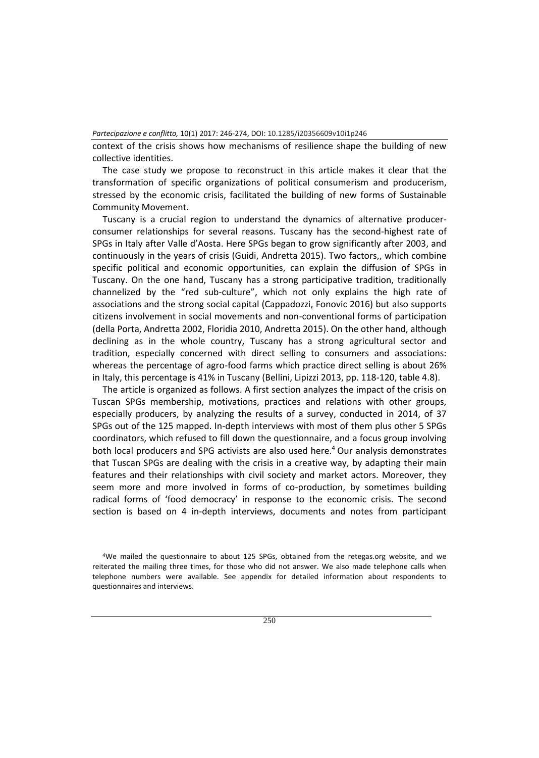context of the crisis shows how mechanisms of resilience shape the building of new collective identities.

The case study we propose to reconstruct in this article makes it clear that the transformation of specific organizations of political consumerism and producerism, stressed by the economic crisis, facilitated the building of new forms of Sustainable Community Movement.

Tuscany is a crucial region to understand the dynamics of alternative producerconsumer relationships for several reasons. Tuscany has the second-highest rate of SPGs in Italy after Valle d'Aosta. Here SPGs began to grow significantly after 2003, and continuously in the years of crisis (Guidi, Andretta 2015). Two factors,, which combine specific political and economic opportunities, can explain the diffusion of SPGs in Tuscany. On the one hand, Tuscany has a strong participative tradition, traditionally channelized by the "red sub-culture", which not only explains the high rate of associations and the strong social capital (Cappadozzi, Fonovic 2016) but also supports citizens involvement in social movements and non-conventional forms of participation (della Porta, Andretta 2002, Floridia 2010, Andretta 2015). On the other hand, although declining as in the whole country, Tuscany has a strong agricultural sector and tradition, especially concerned with direct selling to consumers and associations: whereas the percentage of agro-food farms which practice direct selling is about 26% in Italy, this percentage is 41% in Tuscany (Bellini, Lipizzi 2013, pp. 118-120, table 4.8).

The article is organized as follows. A first section analyzes the impact of the crisis on Tuscan SPGs membership, motivations, practices and relations with other groups, especially producers, by analyzing the results of a survey, conducted in 2014, of 37 SPGs out of the 125 mapped. In-depth interviews with most of them plus other 5 SPGs coordinators, which refused to fill down the questionnaire, and a focus group involving both local producers and SPG activists are also used here.<sup>4</sup> Our analysis demonstrates that Tuscan SPGs are dealing with the crisis in a creative way, by adapting their main features and their relationships with civil society and market actors. Moreover, they seem more and more involved in forms of co-production, by sometimes building radical forms of 'food democracy' in response to the economic crisis. The second section is based on 4 in-depth interviews, documents and notes from participant

<sup>4</sup>We mailed the questionnaire to about 125 SPGs, obtained from the retegas.org website, and we reiterated the mailing three times, for those who did not answer. We also made telephone calls when telephone numbers were available. See appendix for detailed information about respondents to questionnaires and interviews.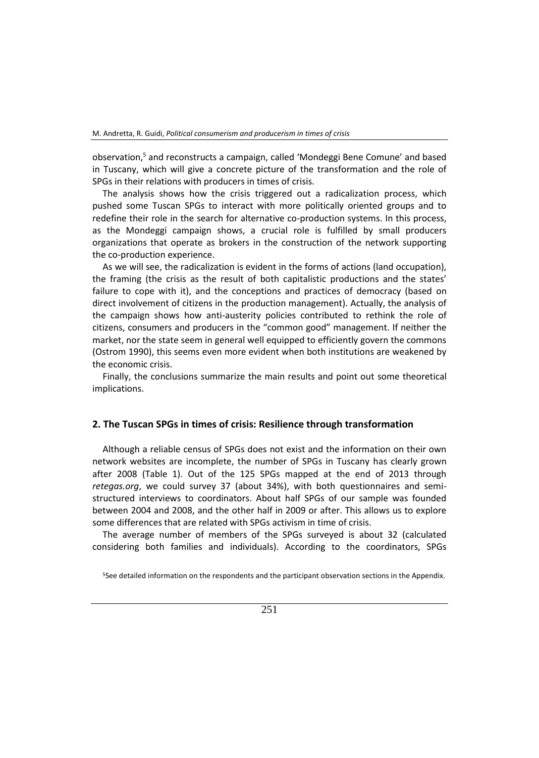observation,<sup>5</sup> and reconstructs a campaign, called 'Mondeggi Bene Comune' and based in Tuscany, which will give a concrete picture of the transformation and the role of SPGs in their relations with producers in times of crisis.

The analysis shows how the crisis triggered out a radicalization process, which pushed some Tuscan SPGs to interact with more politically oriented groups and to redefine their role in the search for alternative co-production systems. In this process, as the Mondeggi campaign shows, a crucial role is fulfilled by small producers organizations that operate as brokers in the construction of the network supporting the co-production experience.

As we will see, the radicalization is evident in the forms of actions (land occupation), the framing (the crisis as the result of both capitalistic productions and the states' failure to cope with it), and the conceptions and practices of democracy (based on direct involvement of citizens in the production management). Actually, the analysis of the campaign shows how anti-austerity policies contributed to rethink the role of citizens, consumers and producers in the "common good" management. If neither the market, nor the state seem in general well equipped to efficiently govern the commons (Ostrom 1990), this seems even more evident when both institutions are weakened by the economic crisis.

Finally, the conclusions summarize the main results and point out some theoretical implications.

#### **2. The Tuscan SPGs in times of crisis: Resilience through transformation**

Although a reliable census of SPGs does not exist and the information on their own network websites are incomplete, the number of SPGs in Tuscany has clearly grown after 2008 (Table 1). Out of the 125 SPGs mapped at the end of 2013 through *retegas.org*, we could survey 37 (about 34%), with both questionnaires and semistructured interviews to coordinators. About half SPGs of our sample was founded between 2004 and 2008, and the other half in 2009 or after. This allows us to explore some differences that are related with SPGs activism in time of crisis.

The average number of members of the SPGs surveyed is about 32 (calculated considering both families and individuals). According to the coordinators, SPGs

5See detailed information on the respondents and the participant observation sections in the Appendix.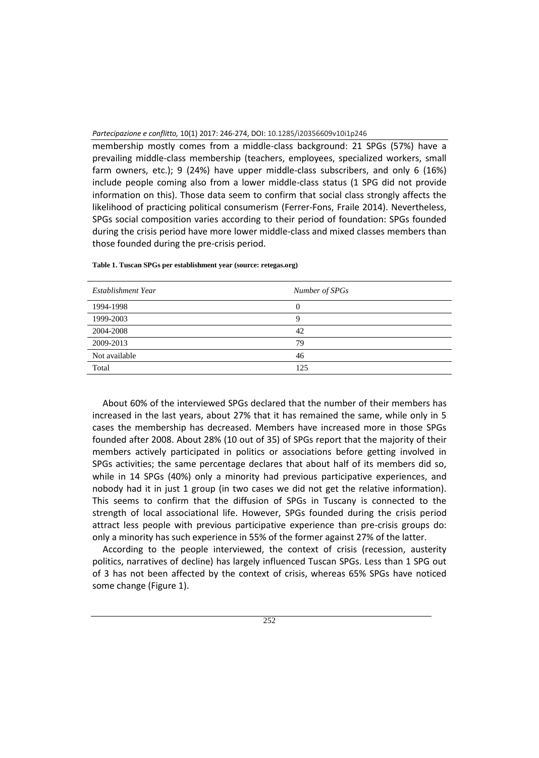membership mostly comes from a middle-class background: 21 SPGs (57%) have a prevailing middle-class membership (teachers, employees, specialized workers, small farm owners, etc.); 9 (24%) have upper middle-class subscribers, and only 6 (16%) include people coming also from a lower middle-class status (1 SPG did not provide information on this). Those data seem to confirm that social class strongly affects the likelihood of practicing political consumerism (Ferrer-Fons, Fraile 2014). Nevertheless, SPGs social composition varies according to their period of foundation: SPGs founded during the crisis period have more lower middle-class and mixed classes members than those founded during the pre-crisis period.

| Establishment Year | Number of SPGs |
|--------------------|----------------|
| 1994-1998          |                |
| 1999-2003          |                |
| 2004-2008          | 42             |
| 2009-2013          | 79             |
| Not available      | 46             |
| Total              | 125            |

**Table 1. Tuscan SPGs per establishment year (source: retegas.org)**

About 60% of the interviewed SPGs declared that the number of their members has increased in the last years, about 27% that it has remained the same, while only in 5 cases the membership has decreased. Members have increased more in those SPGs founded after 2008. About 28% (10 out of 35) of SPGs report that the majority of their members actively participated in politics or associations before getting involved in SPGs activities; the same percentage declares that about half of its members did so, while in 14 SPGs (40%) only a minority had previous participative experiences, and nobody had it in just 1 group (in two cases we did not get the relative information). This seems to confirm that the diffusion of SPGs in Tuscany is connected to the strength of local associational life. However, SPGs founded during the crisis period attract less people with previous participative experience than pre-crisis groups do: only a minority has such experience in 55% of the former against 27% of the latter.

According to the people interviewed, the context of crisis (recession, austerity politics, narratives of decline) has largely influenced Tuscan SPGs. Less than 1 SPG out of 3 has not been affected by the context of crisis, whereas 65% SPGs have noticed some change (Figure 1).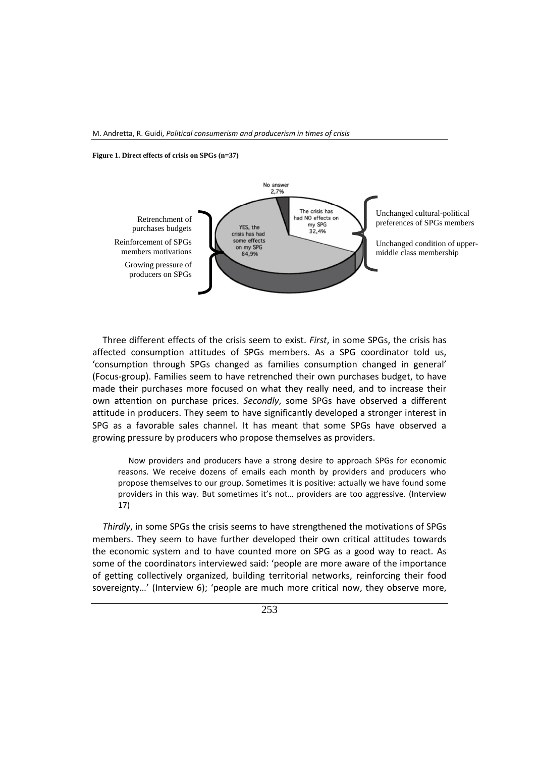**Figure 1. Direct effects of crisis on SPGs (n=37)**



Three different effects of the crisis seem to exist. *First*, in some SPGs, the crisis has affected consumption attitudes of SPGs members. As a SPG coordinator told us, 'consumption through SPGs changed as families consumption changed in general' (Focus-group). Families seem to have retrenched their own purchases budget, to have made their purchases more focused on what they really need, and to increase their own attention on purchase prices. *Secondly*, some SPGs have observed a different attitude in producers. They seem to have significantly developed a stronger interest in SPG as a favorable sales channel. It has meant that some SPGs have observed a growing pressure by producers who propose themselves as providers.

Now providers and producers have a strong desire to approach SPGs for economic reasons. We receive dozens of emails each month by providers and producers who propose themselves to our group. Sometimes it is positive: actually we have found some providers in this way. But sometimes it's not… providers are too aggressive. (Interview 17)

*Thirdly*, in some SPGs the crisis seems to have strengthened the motivations of SPGs members. They seem to have further developed their own critical attitudes towards the economic system and to have counted more on SPG as a good way to react. As some of the coordinators interviewed said: 'people are more aware of the importance of getting collectively organized, building territorial networks, reinforcing their food sovereignty…' (Interview 6); 'people are much more critical now, they observe more,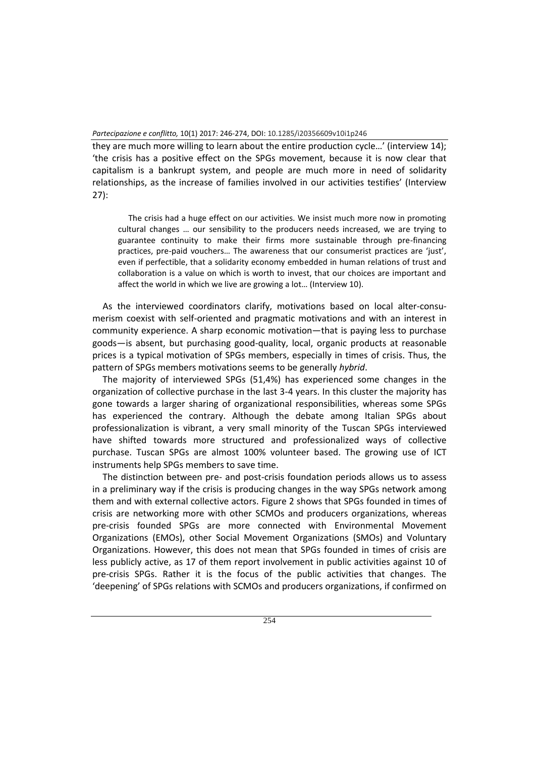they are much more willing to learn about the entire production cycle…' (interview 14); 'the crisis has a positive effect on the SPGs movement, because it is now clear that capitalism is a bankrupt system, and people are much more in need of solidarity relationships, as the increase of families involved in our activities testifies' (Interview 27):

The crisis had a huge effect on our activities. We insist much more now in promoting cultural changes … our sensibility to the producers needs increased, we are trying to guarantee continuity to make their firms more sustainable through pre-financing practices, pre-paid vouchers… The awareness that our consumerist practices are 'just', even if perfectible, that a solidarity economy embedded in human relations of trust and collaboration is a value on which is worth to invest, that our choices are important and affect the world in which we live are growing a lot… (Interview 10).

As the interviewed coordinators clarify, motivations based on local alter-consumerism coexist with self-oriented and pragmatic motivations and with an interest in community experience. A sharp economic motivation―that is paying less to purchase goods―is absent, but purchasing good-quality, local, organic products at reasonable prices is a typical motivation of SPGs members, especially in times of crisis. Thus, the pattern of SPGs members motivations seems to be generally *hybrid*.

The majority of interviewed SPGs (51,4%) has experienced some changes in the organization of collective purchase in the last 3-4 years. In this cluster the majority has gone towards a larger sharing of organizational responsibilities, whereas some SPGs has experienced the contrary. Although the debate among Italian SPGs about professionalization is vibrant, a very small minority of the Tuscan SPGs interviewed have shifted towards more structured and professionalized ways of collective purchase. Tuscan SPGs are almost 100% volunteer based. The growing use of ICT instruments help SPGs members to save time.

The distinction between pre- and post-crisis foundation periods allows us to assess in a preliminary way if the crisis is producing changes in the way SPGs network among them and with external collective actors. Figure 2 shows that SPGs founded in times of crisis are networking more with other SCMOs and producers organizations, whereas pre-crisis founded SPGs are more connected with Environmental Movement Organizations (EMOs), other Social Movement Organizations (SMOs) and Voluntary Organizations. However, this does not mean that SPGs founded in times of crisis are less publicly active, as 17 of them report involvement in public activities against 10 of pre-crisis SPGs. Rather it is the focus of the public activities that changes. The 'deepening' of SPGs relations with SCMOs and producers organizations, if confirmed on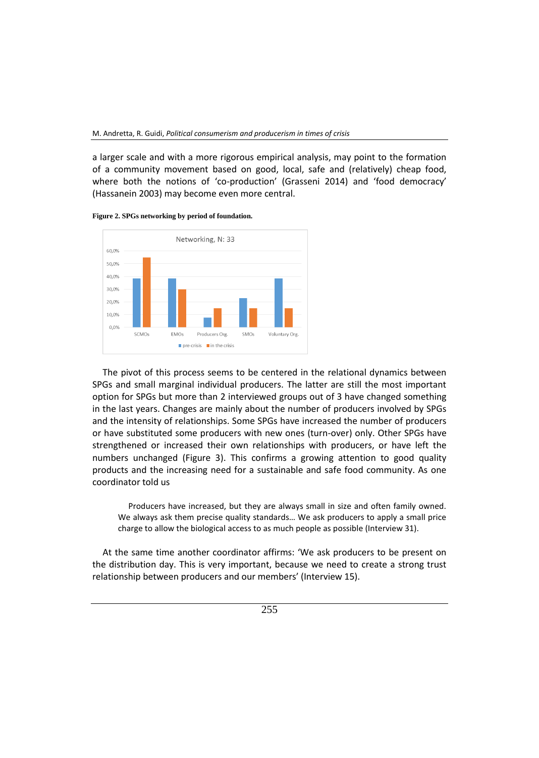a larger scale and with a more rigorous empirical analysis, may point to the formation of a community movement based on good, local, safe and (relatively) cheap food, where both the notions of 'co-production' (Grasseni 2014) and 'food democracy' (Hassanein 2003) may become even more central.





The pivot of this process seems to be centered in the relational dynamics between SPGs and small marginal individual producers. The latter are still the most important option for SPGs but more than 2 interviewed groups out of 3 have changed something in the last years. Changes are mainly about the number of producers involved by SPGs and the intensity of relationships. Some SPGs have increased the number of producers or have substituted some producers with new ones (turn-over) only. Other SPGs have strengthened or increased their own relationships with producers, or have left the numbers unchanged (Figure 3). This confirms a growing attention to good quality products and the increasing need for a sustainable and safe food community. As one coordinator told us

Producers have increased, but they are always small in size and often family owned. We always ask them precise quality standards… We ask producers to apply a small price charge to allow the biological access to as much people as possible (Interview 31).

At the same time another coordinator affirms: 'We ask producers to be present on the distribution day. This is very important, because we need to create a strong trust relationship between producers and our members' (Interview 15).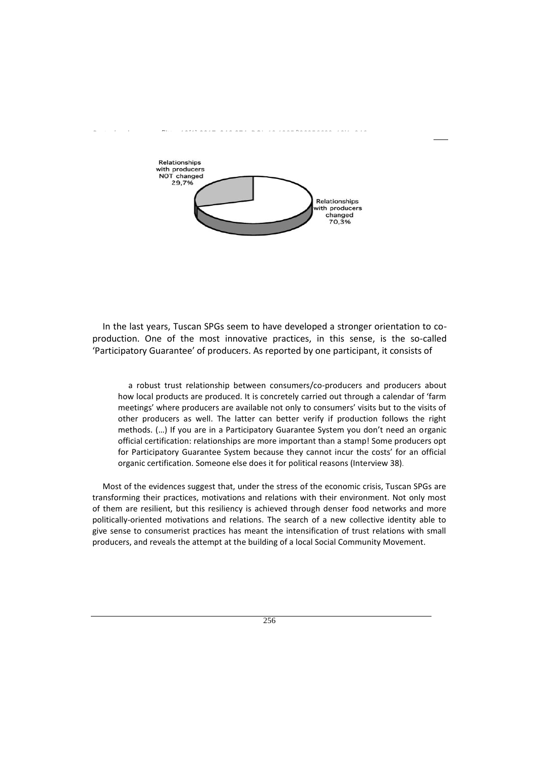

In the last years, Tuscan SPGs seem to have developed a stronger orientation to coproduction. One of the most innovative practices, in this sense, is the so-called 'Participatory Guarantee' of producers. As reported by one participant, it consists of

a robust trust relationship between consumers/co-producers and producers about how local products are produced. It is concretely carried out through a calendar of 'farm meetings' where producers are available not only to consumers' visits but to the visits of other producers as well. The latter can better verify if production follows the right methods. (…) If you are in a Participatory Guarantee System you don't need an organic official certification: relationships are more important than a stamp! Some producers opt for Participatory Guarantee System because they cannot incur the costs' for an official organic certification. Someone else does it for political reasons (Interview 38).

Most of the evidences suggest that, under the stress of the economic crisis, Tuscan SPGs are transforming their practices, motivations and relations with their environment. Not only most of them are resilient, but this resiliency is achieved through denser food networks and more politically-oriented motivations and relations. The search of a new collective identity able to give sense to consumerist practices has meant the intensification of trust relations with small producers, and reveals the attempt at the building of a local Social Community Movement.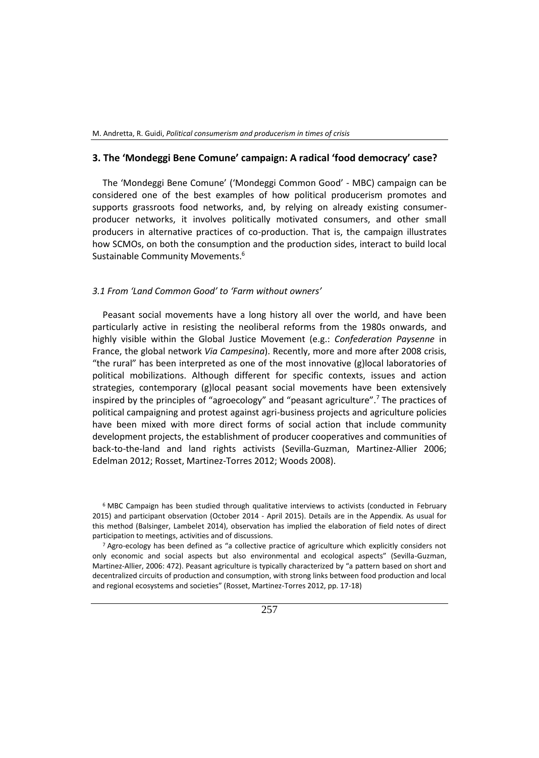#### **3. The 'Mondeggi Bene Comune' campaign: A radical 'food democracy' case?**

The 'Mondeggi Bene Comune' ('Mondeggi Common Good' - MBC) campaign can be considered one of the best examples of how political producerism promotes and supports grassroots food networks, and, by relying on already existing consumerproducer networks, it involves politically motivated consumers, and other small producers in alternative practices of co-production. That is, the campaign illustrates how SCMOs, on both the consumption and the production sides, interact to build local Sustainable Community Movements.<sup>6</sup>

#### *3.1 From 'Land Common Good' to 'Farm without owners'*

Peasant social movements have a long history all over the world, and have been particularly active in resisting the neoliberal reforms from the 1980s onwards, and highly visible within the Global Justice Movement (e.g.: *Confederation Paysenne* in France, the global network *Via Campesina*). Recently, more and more after 2008 crisis, "the rural" has been interpreted as one of the most innovative (g)local laboratories of political mobilizations. Although different for specific contexts, issues and action strategies, contemporary (g)local peasant social movements have been extensively inspired by the principles of "agroecology" and "peasant agriculture".<sup>7</sup> The practices of political campaigning and protest against agri-business projects and agriculture policies have been mixed with more direct forms of social action that include community development projects, the establishment of producer cooperatives and communities of back-to-the-land and land rights activists (Sevilla-Guzman, Martinez-Allier 2006; Edelman 2012; Rosset, Martinez-Torres 2012; Woods 2008).

<sup>6</sup> MBC Campaign has been studied through qualitative interviews to activists (conducted in February 2015) and participant observation (October 2014 - April 2015). Details are in the Appendix. As usual for this method (Balsinger, Lambelet 2014), observation has implied the elaboration of field notes of direct participation to meetings, activities and of discussions.

<sup>7</sup> Agro-ecology has been defined as "a collective practice of agriculture which explicitly considers not only economic and social aspects but also environmental and ecological aspects" (Sevilla-Guzman, Martinez-Allier, 2006: 472). Peasant agriculture is typically characterized by "a pattern based on short and decentralized circuits of production and consumption, with strong links between food production and local and regional ecosystems and societies" (Rosset, Martinez-Torres 2012, pp. 17-18)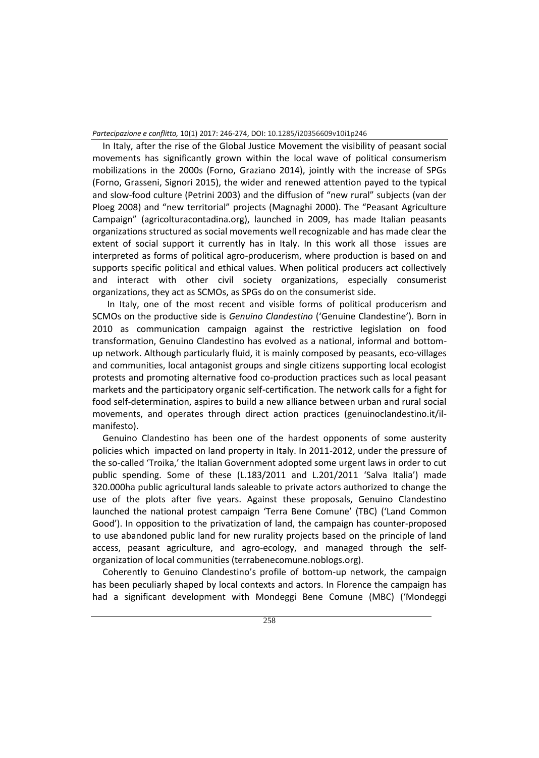In Italy, after the rise of the Global Justice Movement the visibility of peasant social movements has significantly grown within the local wave of political consumerism mobilizations in the 2000s (Forno, Graziano 2014), jointly with the increase of SPGs (Forno, Grasseni, Signori 2015), the wider and renewed attention payed to the typical and slow-food culture (Petrini 2003) and the diffusion of "new rural" subjects (van der Ploeg 2008) and "new territorial" projects (Magnaghi 2000). The "Peasant Agriculture Campaign" (agricolturacontadina.org), launched in 2009, has made Italian peasants organizations structured as social movements well recognizable and has made clear the extent of social support it currently has in Italy. In this work all those issues are interpreted as forms of political agro-producerism, where production is based on and supports specific political and ethical values. When political producers act collectively and interact with other civil society organizations, especially consumerist organizations, they act as SCMOs, as SPGs do on the consumerist side.

 In Italy, one of the most recent and visible forms of political producerism and SCMOs on the productive side is *Genuino Clandestino* ('Genuine Clandestine'). Born in 2010 as communication campaign against the restrictive legislation on food transformation, Genuino Clandestino has evolved as a national, informal and bottomup network. Although particularly fluid, it is mainly composed by peasants, eco-villages and communities, local antagonist groups and single citizens supporting local ecologist protests and promoting alternative food co-production practices such as local peasant markets and the participatory organic self-certification. The network calls for a fight for food self-determination, aspires to build a new alliance between urban and rural social movements, and operates through direct action practices (genuinoclandestino.it/ilmanifesto).

Genuino Clandestino has been one of the hardest opponents of some austerity policies which impacted on land property in Italy. In 2011-2012, under the pressure of the so-called 'Troika,' the Italian Government adopted some urgent laws in order to cut public spending. Some of these (L.183/2011 and L.201/2011 'Salva Italia') made 320.000ha public agricultural lands saleable to private actors authorized to change the use of the plots after five years. Against these proposals, Genuino Clandestino launched the national protest campaign 'Terra Bene Comune' (TBC) ('Land Common Good'). In opposition to the privatization of land, the campaign has counter-proposed to use abandoned public land for new rurality projects based on the principle of land access, peasant agriculture, and agro-ecology, and managed through the selforganization of local communities (terrabenecomune.noblogs.org).

Coherently to Genuino Clandestino's profile of bottom-up network, the campaign has been peculiarly shaped by local contexts and actors. In Florence the campaign has had a significant development with Mondeggi Bene Comune (MBC) ('Mondeggi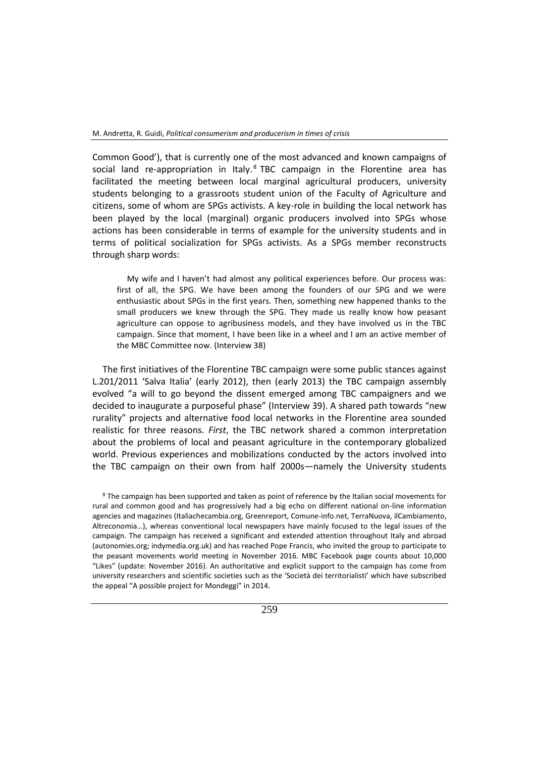Common Good'), that is currently one of the most advanced and known campaigns of social land re-appropriation in Italy. $8$  TBC campaign in the Florentine area has facilitated the meeting between local marginal agricultural producers, university students belonging to a grassroots student union of the Faculty of Agriculture and citizens, some of whom are SPGs activists. A key-role in building the local network has been played by the local (marginal) organic producers involved into SPGs whose actions has been considerable in terms of example for the university students and in terms of political socialization for SPGs activists. As a SPGs member reconstructs through sharp words:

My wife and I haven't had almost any political experiences before. Our process was: first of all, the SPG. We have been among the founders of our SPG and we were enthusiastic about SPGs in the first years. Then, something new happened thanks to the small producers we knew through the SPG. They made us really know how peasant agriculture can oppose to agribusiness models, and they have involved us in the TBC campaign. Since that moment, I have been like in a wheel and I am an active member of the MBC Committee now. (Interview 38)

The first initiatives of the Florentine TBC campaign were some public stances against L.201/2011 'Salva Italia' (early 2012), then (early 2013) the TBC campaign assembly evolved "a will to go beyond the dissent emerged among TBC campaigners and we decided to inaugurate a purposeful phase" (Interview 39). A shared path towards "new rurality" projects and alternative food local networks in the Florentine area sounded realistic for three reasons. *First*, the TBC network shared a common interpretation about the problems of local and peasant agriculture in the contemporary globalized world. Previous experiences and mobilizations conducted by the actors involved into the TBC campaign on their own from half 2000s―namely the University students

<sup>8</sup> The campaign has been supported and taken as point of reference by the Italian social movements for rural and common good and has progressively had a big echo on different national on-line information agencies and magazines (Italiachecambia.org, Greenreport, Comune-info.net, TerraNuova, ilCambiamento, Altreconomia…), whereas conventional local newspapers have mainly focused to the legal issues of the campaign. The campaign has received a significant and extended attention throughout Italy and abroad (autonomies.org; indymedia.org.uk) and has reached Pope Francis, who invited the group to participate to the peasant movements world meeting in November 2016. MBC Facebook page counts about 10,000 "Likes" (update: November 2016). An authoritative and explicit support to the campaign has come from university researchers and scientific societies such as the 'Società dei territorialisti' which have subscribed the appeal "A possible project for Mondeggi" in 2014.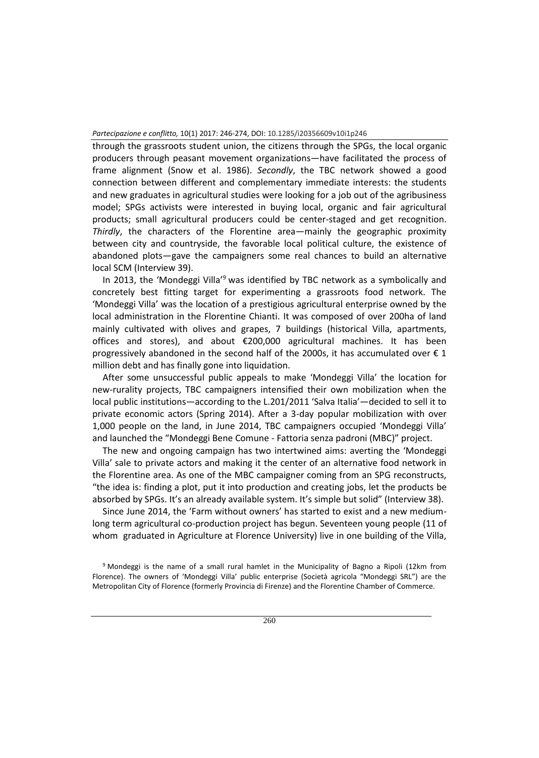through the grassroots student union, the citizens through the SPGs, the local organic producers through peasant movement organizations―have facilitated the process of frame alignment (Snow et al. 1986). *Secondly*, the TBC network showed a good connection between different and complementary immediate interests: the students and new graduates in agricultural studies were looking for a job out of the agribusiness model; SPGs activists were interested in buying local, organic and fair agricultural products; small agricultural producers could be center-staged and get recognition. *Thirdly*, the characters of the Florentine area―mainly the geographic proximity between city and countryside, the favorable local political culture, the existence of abandoned plots―gave the campaigners some real chances to build an alternative local SCM (Interview 39).

In 2013, the 'Mondeggi Villa<sup>'9</sup> was identified by TBC network as a symbolically and concretely best fitting target for experimenting a grassroots food network. The 'Mondeggi Villa' was the location of a prestigious agricultural enterprise owned by the local administration in the Florentine Chianti. It was composed of over 200ha of land mainly cultivated with olives and grapes, 7 buildings (historical Villa, apartments, offices and stores), and about €200,000 agricultural machines. It has been progressively abandoned in the second half of the 2000s, it has accumulated over  $\epsilon$  1 million debt and has finally gone into liquidation.

After some unsuccessful public appeals to make 'Mondeggi Villa' the location for new-rurality projects, TBC campaigners intensified their own mobilization when the local public institutions―according to the L.201/2011 'Salva Italia'―decided to sell it to private economic actors (Spring 2014). After a 3-day popular mobilization with over 1,000 people on the land, in June 2014, TBC campaigners occupied 'Mondeggi Villa' and launched the "Mondeggi Bene Comune - Fattoria senza padroni (MBC)" project.

The new and ongoing campaign has two intertwined aims: averting the 'Mondeggi Villa' sale to private actors and making it the center of an alternative food network in the Florentine area. As one of the MBC campaigner coming from an SPG reconstructs, "the idea is: finding a plot, put it into production and creating jobs, let the products be absorbed by SPGs. It's an already available system. It's simple but solid" (Interview 38).

Since June 2014, the 'Farm without owners' has started to exist and a new mediumlong term agricultural co-production project has begun. Seventeen young people (11 of whom graduated in Agriculture at Florence University) live in one building of the Villa,

<sup>9</sup> Mondeggi is the name of a small rural hamlet in the Municipality of Bagno a Ripoli (12km from Florence). The owners of 'Mondeggi Villa' public enterprise (Società agricola "Mondeggi SRL") are the Metropolitan City of Florence (formerly Provincia di Firenze) and the Florentine Chamber of Commerce.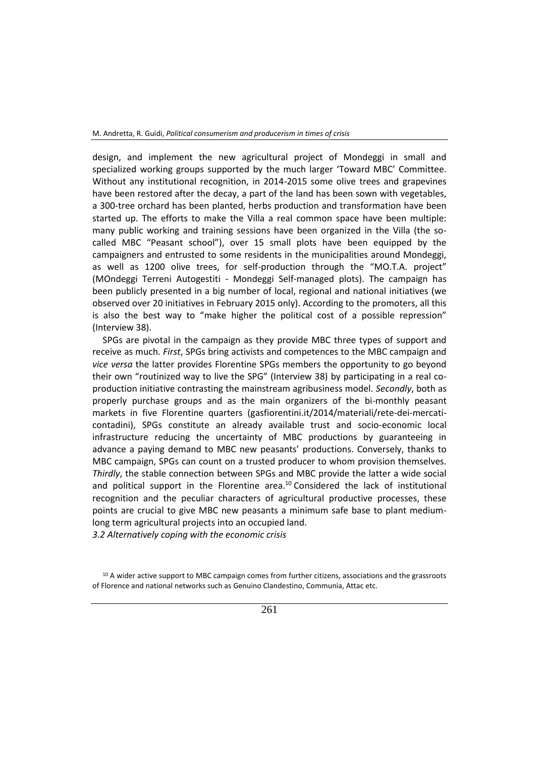design, and implement the new agricultural project of Mondeggi in small and specialized working groups supported by the much larger 'Toward MBC' Committee. Without any institutional recognition, in 2014-2015 some olive trees and grapevines have been restored after the decay, a part of the land has been sown with vegetables, a 300-tree orchard has been planted, herbs production and transformation have been started up. The efforts to make the Villa a real common space have been multiple: many public working and training sessions have been organized in the Villa (the socalled MBC "Peasant school"), over 15 small plots have been equipped by the campaigners and entrusted to some residents in the municipalities around Mondeggi, as well as 1200 olive trees, for self-production through the "MO.T.A. project" (MOndeggi Terreni Autogestiti - Mondeggi Self-managed plots). The campaign has been publicly presented in a big number of local, regional and national initiatives (we observed over 20 initiatives in February 2015 only). According to the promoters, all this is also the best way to "make higher the political cost of a possible repression" (Interview 38).

SPGs are pivotal in the campaign as they provide MBC three types of support and receive as much. *First*, SPGs bring activists and competences to the MBC campaign and *vice versa* the latter provides Florentine SPGs members the opportunity to go beyond their own "routinized way to live the SPG" (Interview 38) by participating in a real coproduction initiative contrasting the mainstream agribusiness model. *Secondly*, both as properly purchase groups and as the main organizers of the bi-monthly peasant markets in five Florentine quarters (gasfiorentini.it/2014/materiali/rete-dei-mercaticontadini), SPGs constitute an already available trust and socio-economic local infrastructure reducing the uncertainty of MBC productions by guaranteeing in advance a paying demand to MBC new peasants' productions. Conversely, thanks to MBC campaign, SPGs can count on a trusted producer to whom provision themselves. *Thirdly*, the stable connection between SPGs and MBC provide the latter a wide social and political support in the Florentine area.<sup>10</sup> Considered the lack of institutional recognition and the peculiar characters of agricultural productive processes, these points are crucial to give MBC new peasants a minimum safe base to plant mediumlong term agricultural projects into an occupied land.

*3.2 Alternatively coping with the economic crisis*

<sup>&</sup>lt;sup>10</sup> A wider active support to MBC campaign comes from further citizens, associations and the grassroots of Florence and national networks such as Genuino Clandestino, Communia, Attac etc.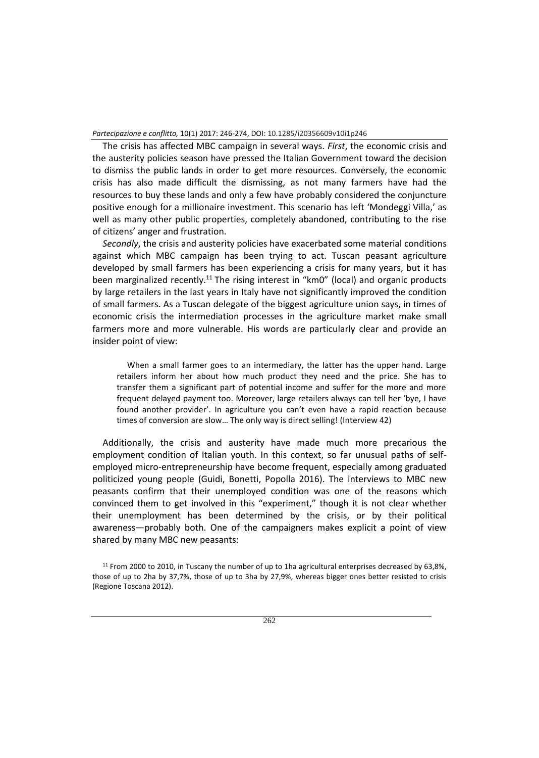The crisis has affected MBC campaign in several ways. *First*, the economic crisis and the austerity policies season have pressed the Italian Government toward the decision to dismiss the public lands in order to get more resources. Conversely, the economic crisis has also made difficult the dismissing, as not many farmers have had the resources to buy these lands and only a few have probably considered the conjuncture positive enough for a millionaire investment. This scenario has left 'Mondeggi Villa,' as well as many other public properties, completely abandoned, contributing to the rise of citizens' anger and frustration.

*Secondly*, the crisis and austerity policies have exacerbated some material conditions against which MBC campaign has been trying to act. Tuscan peasant agriculture developed by small farmers has been experiencing a crisis for many years, but it has been marginalized recently.<sup>11</sup> The rising interest in "km0" (local) and organic products by large retailers in the last years in Italy have not significantly improved the condition of small farmers. As a Tuscan delegate of the biggest agriculture union says, in times of economic crisis the intermediation processes in the agriculture market make small farmers more and more vulnerable. His words are particularly clear and provide an insider point of view:

When a small farmer goes to an intermediary, the latter has the upper hand. Large retailers inform her about how much product they need and the price. She has to transfer them a significant part of potential income and suffer for the more and more frequent delayed payment too. Moreover, large retailers always can tell her 'bye, I have found another provider'. In agriculture you can't even have a rapid reaction because times of conversion are slow… The only way is direct selling! (Interview 42)

Additionally, the crisis and austerity have made much more precarious the employment condition of Italian youth. In this context, so far unusual paths of selfemployed micro-entrepreneurship have become frequent, especially among graduated politicized young people (Guidi, Bonetti, Popolla 2016). The interviews to MBC new peasants confirm that their unemployed condition was one of the reasons which convinced them to get involved in this "experiment," though it is not clear whether their unemployment has been determined by the crisis, or by their political awareness―probably both. One of the campaigners makes explicit a point of view shared by many MBC new peasants:

<sup>&</sup>lt;sup>11</sup> From 2000 to 2010, in Tuscany the number of up to 1ha agricultural enterprises decreased by 63,8%, those of up to 2ha by 37,7%, those of up to 3ha by 27,9%, whereas bigger ones better resisted to crisis (Regione Toscana 2012).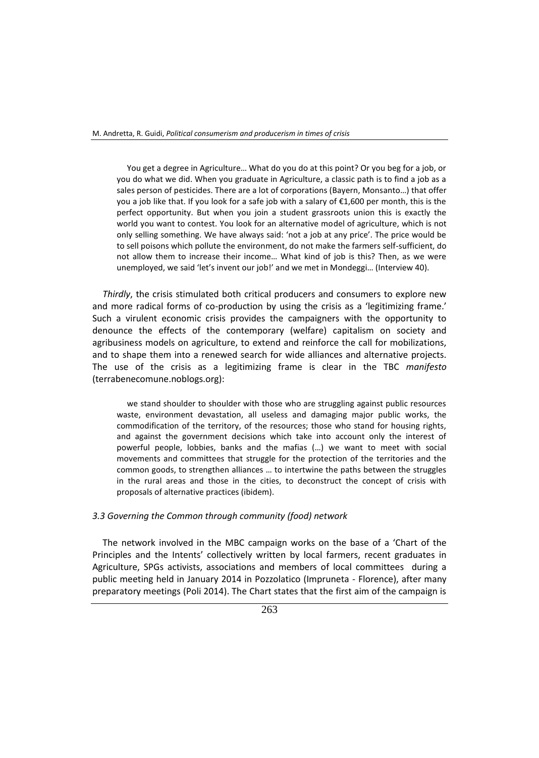You get a degree in Agriculture… What do you do at this point? Or you beg for a job, or you do what we did. When you graduate in Agriculture, a classic path is to find a job as a sales person of pesticides. There are a lot of corporations (Bayern, Monsanto…) that offer you a job like that. If you look for a safe job with a salary of €1,600 per month, this is the perfect opportunity. But when you join a student grassroots union this is exactly the world you want to contest. You look for an alternative model of agriculture, which is not only selling something. We have always said: 'not a job at any price'. The price would be to sell poisons which pollute the environment, do not make the farmers self-sufficient, do not allow them to increase their income… What kind of job is this? Then, as we were unemployed, we said 'let's invent our job!' and we met in Mondeggi… (Interview 40).

*Thirdly*, the crisis stimulated both critical producers and consumers to explore new and more radical forms of co-production by using the crisis as a 'legitimizing frame.' Such a virulent economic crisis provides the campaigners with the opportunity to denounce the effects of the contemporary (welfare) capitalism on society and agribusiness models on agriculture, to extend and reinforce the call for mobilizations, and to shape them into a renewed search for wide alliances and alternative projects. The use of the crisis as a legitimizing frame is clear in the TBC *manifesto* (terrabenecomune.noblogs.org):

we stand shoulder to shoulder with those who are struggling against public resources waste, environment devastation, all useless and damaging major public works, the commodification of the territory, of the resources; those who stand for housing rights, and against the government decisions which take into account only the interest of powerful people, lobbies, banks and the mafias (…) we want to meet with social movements and committees that struggle for the protection of the territories and the common goods, to strengthen alliances … to intertwine the paths between the struggles in the rural areas and those in the cities, to deconstruct the concept of crisis with proposals of alternative practices (ibidem).

#### *3.3 Governing the Common through community (food) network*

The network involved in the MBC campaign works on the base of a 'Chart of the Principles and the Intents' collectively written by local farmers, recent graduates in Agriculture, SPGs activists, associations and members of local committees during a public meeting held in January 2014 in Pozzolatico (Impruneta - Florence), after many preparatory meetings (Poli 2014). The Chart states that the first aim of the campaign is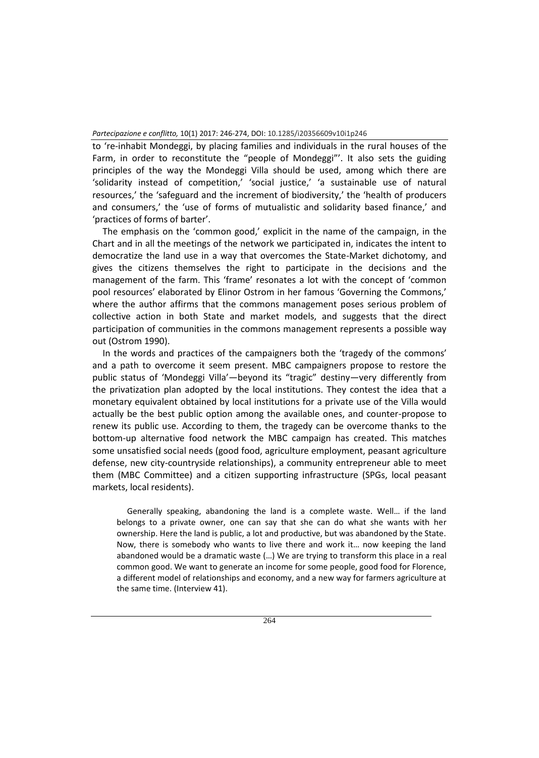to 're-inhabit Mondeggi, by placing families and individuals in the rural houses of the Farm, in order to reconstitute the "people of Mondeggi"'. It also sets the guiding principles of the way the Mondeggi Villa should be used, among which there are 'solidarity instead of competition,' 'social justice,' 'a sustainable use of natural resources,' the 'safeguard and the increment of biodiversity,' the 'health of producers and consumers,' the 'use of forms of mutualistic and solidarity based finance,' and 'practices of forms of barter'.

The emphasis on the 'common good,' explicit in the name of the campaign, in the Chart and in all the meetings of the network we participated in, indicates the intent to democratize the land use in a way that overcomes the State-Market dichotomy, and gives the citizens themselves the right to participate in the decisions and the management of the farm. This 'frame' resonates a lot with the concept of 'common pool resources' elaborated by Elinor Ostrom in her famous 'Governing the Commons,' where the author affirms that the commons management poses serious problem of collective action in both State and market models, and suggests that the direct participation of communities in the commons management represents a possible way out (Ostrom 1990).

In the words and practices of the campaigners both the 'tragedy of the commons' and a path to overcome it seem present. MBC campaigners propose to restore the public status of 'Mondeggi Villa'―beyond its "tragic" destiny―very differently from the privatization plan adopted by the local institutions. They contest the idea that a monetary equivalent obtained by local institutions for a private use of the Villa would actually be the best public option among the available ones, and counter-propose to renew its public use. According to them, the tragedy can be overcome thanks to the bottom-up alternative food network the MBC campaign has created. This matches some unsatisfied social needs (good food, agriculture employment, peasant agriculture defense, new city-countryside relationships), a community entrepreneur able to meet them (MBC Committee) and a citizen supporting infrastructure (SPGs, local peasant markets, local residents).

Generally speaking, abandoning the land is a complete waste. Well… if the land belongs to a private owner, one can say that she can do what she wants with her ownership. Here the land is public, a lot and productive, but was abandoned by the State. Now, there is somebody who wants to live there and work it… now keeping the land abandoned would be a dramatic waste (…) We are trying to transform this place in a real common good. We want to generate an income for some people, good food for Florence, a different model of relationships and economy, and a new way for farmers agriculture at the same time. (Interview 41).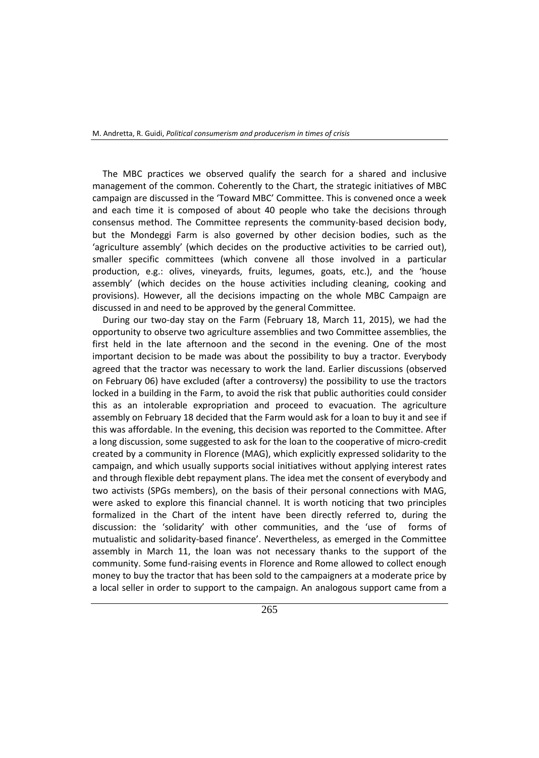The MBC practices we observed qualify the search for a shared and inclusive management of the common. Coherently to the Chart, the strategic initiatives of MBC campaign are discussed in the 'Toward MBC' Committee. This is convened once a week and each time it is composed of about 40 people who take the decisions through consensus method. The Committee represents the community-based decision body, but the Mondeggi Farm is also governed by other decision bodies, such as the 'agriculture assembly' (which decides on the productive activities to be carried out), smaller specific committees (which convene all those involved in a particular production, e.g.: olives, vineyards, fruits, legumes, goats, etc.), and the 'house assembly' (which decides on the house activities including cleaning, cooking and provisions). However, all the decisions impacting on the whole MBC Campaign are discussed in and need to be approved by the general Committee.

During our two-day stay on the Farm (February 18, March 11, 2015), we had the opportunity to observe two agriculture assemblies and two Committee assemblies, the first held in the late afternoon and the second in the evening. One of the most important decision to be made was about the possibility to buy a tractor. Everybody agreed that the tractor was necessary to work the land. Earlier discussions (observed on February 06) have excluded (after a controversy) the possibility to use the tractors locked in a building in the Farm, to avoid the risk that public authorities could consider this as an intolerable expropriation and proceed to evacuation. The agriculture assembly on February 18 decided that the Farm would ask for a loan to buy it and see if this was affordable. In the evening, this decision was reported to the Committee. After a long discussion, some suggested to ask for the loan to the cooperative of micro-credit created by a community in Florence (MAG), which explicitly expressed solidarity to the campaign, and which usually supports social initiatives without applying interest rates and through flexible debt repayment plans. The idea met the consent of everybody and two activists (SPGs members), on the basis of their personal connections with MAG, were asked to explore this financial channel. It is worth noticing that two principles formalized in the Chart of the intent have been directly referred to, during the discussion: the 'solidarity' with other communities, and the 'use of forms of mutualistic and solidarity-based finance'. Nevertheless, as emerged in the Committee assembly in March 11, the loan was not necessary thanks to the support of the community. Some fund-raising events in Florence and Rome allowed to collect enough money to buy the tractor that has been sold to the campaigners at a moderate price by a local seller in order to support to the campaign. An analogous support came from a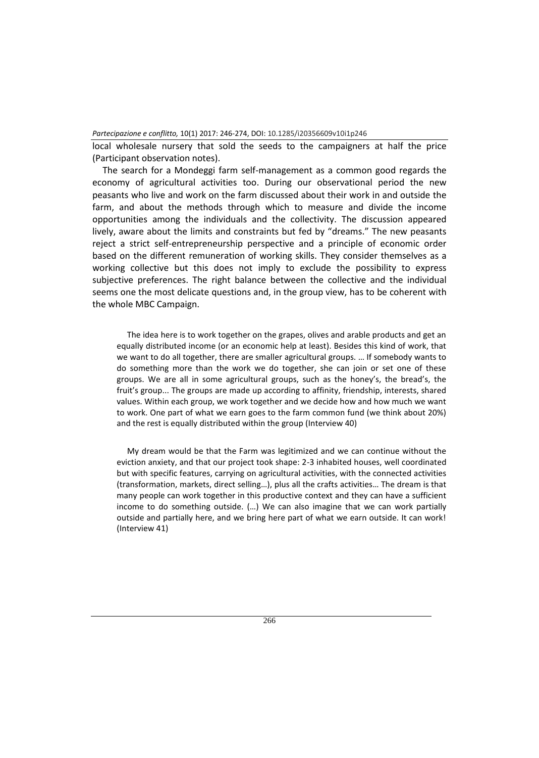local wholesale nursery that sold the seeds to the campaigners at half the price (Participant observation notes).

The search for a Mondeggi farm self-management as a common good regards the economy of agricultural activities too. During our observational period the new peasants who live and work on the farm discussed about their work in and outside the farm, and about the methods through which to measure and divide the income opportunities among the individuals and the collectivity. The discussion appeared lively, aware about the limits and constraints but fed by "dreams." The new peasants reject a strict self-entrepreneurship perspective and a principle of economic order based on the different remuneration of working skills. They consider themselves as a working collective but this does not imply to exclude the possibility to express subjective preferences. The right balance between the collective and the individual seems one the most delicate questions and, in the group view, has to be coherent with the whole MBC Campaign.

The idea here is to work together on the grapes, olives and arable products and get an equally distributed income (or an economic help at least). Besides this kind of work, that we want to do all together, there are smaller agricultural groups. … If somebody wants to do something more than the work we do together, she can join or set one of these groups. We are all in some agricultural groups, such as the honey's, the bread's, the fruit's group... The groups are made up according to affinity, friendship, interests, shared values. Within each group, we work together and we decide how and how much we want to work. One part of what we earn goes to the farm common fund (we think about 20%) and the rest is equally distributed within the group (Interview 40)

My dream would be that the Farm was legitimized and we can continue without the eviction anxiety, and that our project took shape: 2-3 inhabited houses, well coordinated but with specific features, carrying on agricultural activities, with the connected activities (transformation, markets, direct selling…), plus all the crafts activities… The dream is that many people can work together in this productive context and they can have a sufficient income to do something outside. (…) We can also imagine that we can work partially outside and partially here, and we bring here part of what we earn outside. It can work! (Interview 41)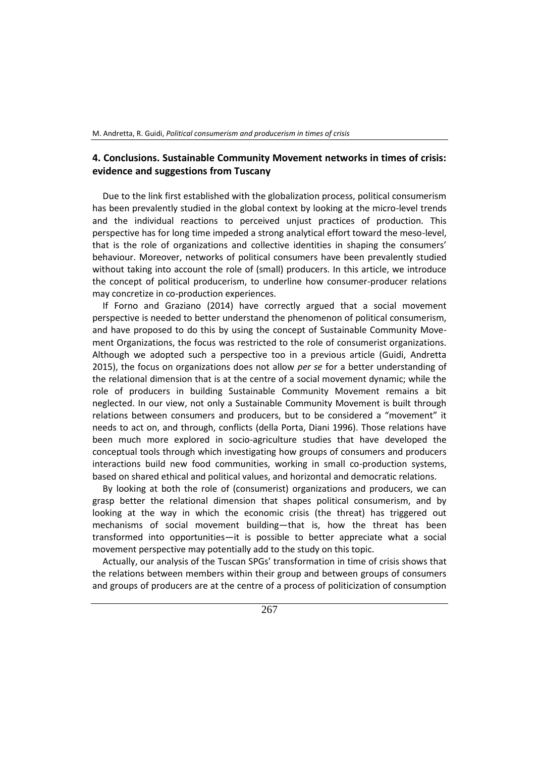# **4. Conclusions. Sustainable Community Movement networks in times of crisis: evidence and suggestions from Tuscany**

Due to the link first established with the globalization process, political consumerism has been prevalently studied in the global context by looking at the micro-level trends and the individual reactions to perceived unjust practices of production. This perspective has for long time impeded a strong analytical effort toward the meso-level, that is the role of organizations and collective identities in shaping the consumers' behaviour. Moreover, networks of political consumers have been prevalently studied without taking into account the role of (small) producers. In this article, we introduce the concept of political producerism, to underline how consumer-producer relations may concretize in co-production experiences.

If Forno and Graziano (2014) have correctly argued that a social movement perspective is needed to better understand the phenomenon of political consumerism, and have proposed to do this by using the concept of Sustainable Community Movement Organizations, the focus was restricted to the role of consumerist organizations. Although we adopted such a perspective too in a previous article (Guidi, Andretta 2015), the focus on organizations does not allow *per se* for a better understanding of the relational dimension that is at the centre of a social movement dynamic; while the role of producers in building Sustainable Community Movement remains a bit neglected. In our view, not only a Sustainable Community Movement is built through relations between consumers and producers, but to be considered a "movement" it needs to act on, and through, conflicts (della Porta, Diani 1996). Those relations have been much more explored in socio-agriculture studies that have developed the conceptual tools through which investigating how groups of consumers and producers interactions build new food communities, working in small co-production systems, based on shared ethical and political values, and horizontal and democratic relations.

By looking at both the role of (consumerist) organizations and producers, we can grasp better the relational dimension that shapes political consumerism, and by looking at the way in which the economic crisis (the threat) has triggered out mechanisms of social movement building―that is, how the threat has been transformed into opportunities―it is possible to better appreciate what a social movement perspective may potentially add to the study on this topic.

Actually, our analysis of the Tuscan SPGs' transformation in time of crisis shows that the relations between members within their group and between groups of consumers and groups of producers are at the centre of a process of politicization of consumption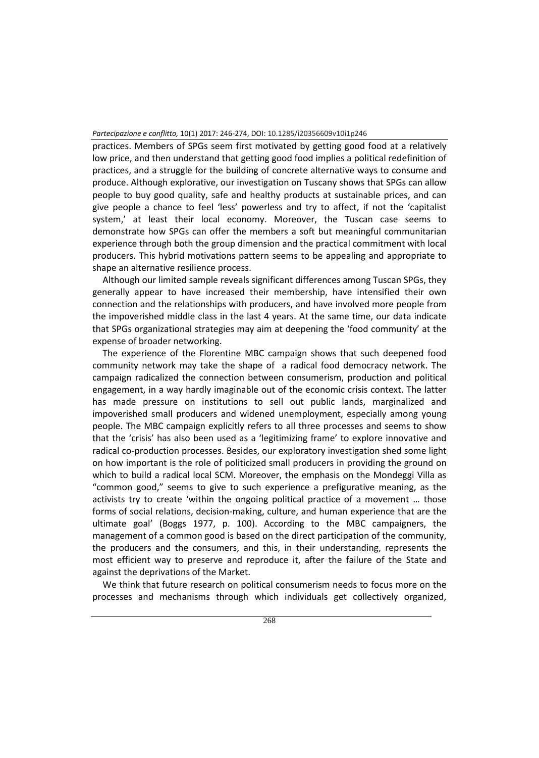practices. Members of SPGs seem first motivated by getting good food at a relatively low price, and then understand that getting good food implies a political redefinition of practices, and a struggle for the building of concrete alternative ways to consume and produce. Although explorative, our investigation on Tuscany shows that SPGs can allow people to buy good quality, safe and healthy products at sustainable prices, and can give people a chance to feel 'less' powerless and try to affect, if not the 'capitalist system,' at least their local economy. Moreover, the Tuscan case seems to demonstrate how SPGs can offer the members a soft but meaningful communitarian experience through both the group dimension and the practical commitment with local producers. This hybrid motivations pattern seems to be appealing and appropriate to shape an alternative resilience process.

Although our limited sample reveals significant differences among Tuscan SPGs, they generally appear to have increased their membership, have intensified their own connection and the relationships with producers, and have involved more people from the impoverished middle class in the last 4 years. At the same time, our data indicate that SPGs organizational strategies may aim at deepening the 'food community' at the expense of broader networking.

The experience of the Florentine MBC campaign shows that such deepened food community network may take the shape of a radical food democracy network. The campaign radicalized the connection between consumerism, production and political engagement, in a way hardly imaginable out of the economic crisis context. The latter has made pressure on institutions to sell out public lands, marginalized and impoverished small producers and widened unemployment, especially among young people. The MBC campaign explicitly refers to all three processes and seems to show that the 'crisis' has also been used as a 'legitimizing frame' to explore innovative and radical co-production processes. Besides, our exploratory investigation shed some light on how important is the role of politicized small producers in providing the ground on which to build a radical local SCM. Moreover, the emphasis on the Mondeggi Villa as "common good," seems to give to such experience a prefigurative meaning, as the activists try to create 'within the ongoing political practice of a movement … those forms of social relations, decision-making, culture, and human experience that are the ultimate goal' (Boggs 1977, p. 100). According to the MBC campaigners, the management of a common good is based on the direct participation of the community, the producers and the consumers, and this, in their understanding, represents the most efficient way to preserve and reproduce it, after the failure of the State and against the deprivations of the Market.

We think that future research on political consumerism needs to focus more on the processes and mechanisms through which individuals get collectively organized,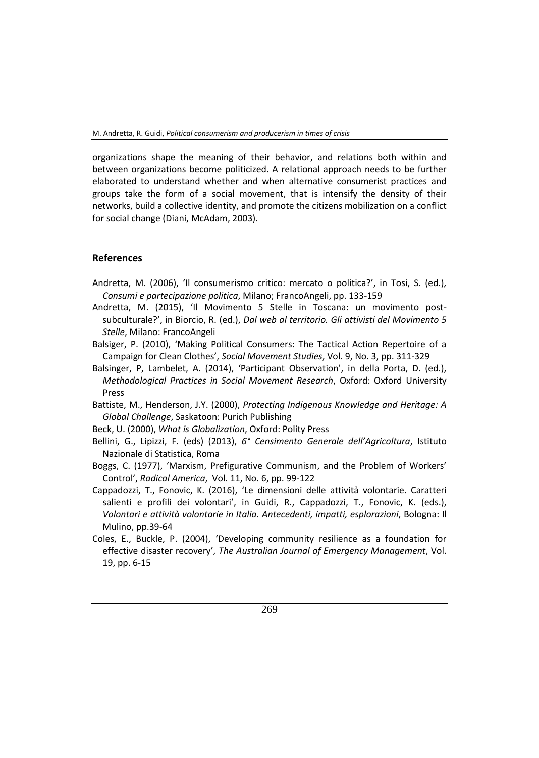organizations shape the meaning of their behavior, and relations both within and between organizations become politicized. A relational approach needs to be further elaborated to understand whether and when alternative consumerist practices and groups take the form of a social movement, that is intensify the density of their networks, build a collective identity, and promote the citizens mobilization on a conflict for social change (Diani, McAdam, 2003).

# **References**

- Andretta, M. (2006), 'Il consumerismo critico: mercato o politica?', in Tosi, S. (ed.)*, Consumi e partecipazione politica*, Milano; FrancoAngeli, pp. 133-159
- Andretta, M. (2015), 'Il Movimento 5 Stelle in Toscana: un movimento postsubculturale?', in Biorcio, R. (ed.), *Dal web al territorio. Gli attivisti del Movimento 5 Stelle*, Milano: FrancoAngeli
- Balsiger, P. (2010), 'Making Political Consumers: The Tactical Action Repertoire of a Campaign for Clean Clothes', *Social Movement Studies*, Vol. 9, No. 3, pp. 311-329
- Balsinger, P, Lambelet, A. (2014), 'Participant Observation', in della Porta, D. (ed.), *Methodological Practices in Social Movement Research*, Oxford: Oxford University Press
- Battiste, M., Henderson, J.Y. (2000), *Protecting Indigenous Knowledge and Heritage: A Global Challenge*, Saskatoon: Purich Publishing
- Beck, U. (2000), *What is Globalization*, Oxford: Polity Press
- Bellini, G., Lipizzi, F. (eds) (2013), *6° Censimento Generale dell'Agricoltura*, Istituto Nazionale di Statistica, Roma
- Boggs, C. (1977), 'Marxism, Prefigurative Communism, and the Problem of Workers' Control', *Radical America*, Vol. 11, No. 6, pp. 99-122
- Cappadozzi, T., Fonovic, K. (2016), 'Le dimensioni delle attività volontarie. Caratteri salienti e profili dei volontari', in Guidi, R., Cappadozzi, T., Fonovic, K. (eds.), *Volontari e attività volontarie in Italia. Antecedenti, impatti, esplorazioni*, Bologna: Il Mulino, pp.39-64
- Coles, E., Buckle, P. (2004), 'Developing community resilience as a foundation for effective disaster recovery', *The Australian Journal of Emergency Management*, Vol. 19, pp. 6-15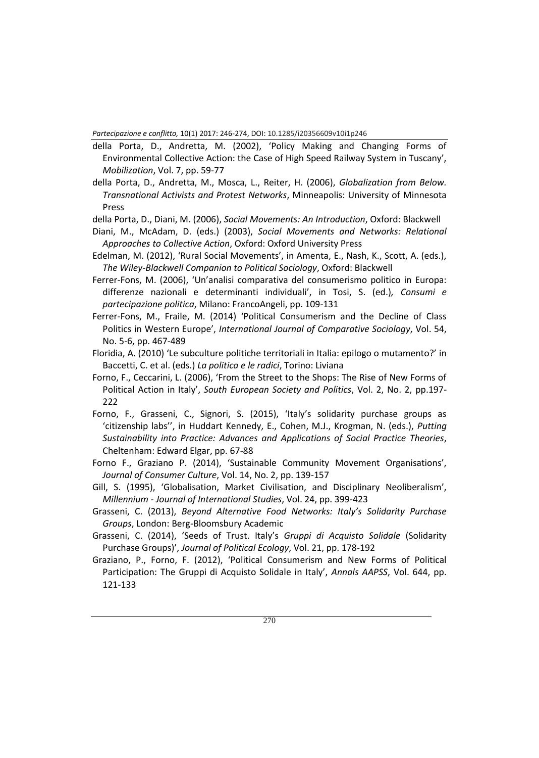- della Porta, D., Andretta, M. (2002), 'Policy Making and Changing Forms of Environmental Collective Action: the Case of High Speed Railway System in Tuscany', *Mobilization*, Vol. 7, pp. 59-77
- della Porta, D., Andretta, M., Mosca, L., Reiter, H. (2006), *Globalization from Below. Transnational Activists and Protest Networks*, Minneapolis: University of Minnesota Press
- della Porta, D., Diani, M. (2006), *Social Movements: An Introduction*, Oxford: Blackwell
- Diani, M., McAdam, D. (eds.) (2003), *Social Movements and Networks: Relational Approaches to Collective Action*, Oxford: Oxford University Press
- Edelman, M. (2012), 'Rural Social Movements', in Amenta, E., Nash, K., Scott, A. (eds.), *The Wiley-Blackwell Companion to Political Sociology*, Oxford: Blackwell
- Ferrer-Fons, M. (2006), 'Un'analisi comparativa del consumerismo politico in Europa: differenze nazionali e determinanti individuali', in Tosi, S. (ed.)*, Consumi e partecipazione politica*, Milano: FrancoAngeli, pp. 109-131
- Ferrer-Fons, M., Fraile, M. (2014) 'Political Consumerism and the Decline of Class Politics in Western Europe', *International Journal of Comparative Sociology*, Vol. 54, No. 5-6, pp. 467-489
- Floridia, A. (2010) 'Le subculture politiche territoriali in Italia: epilogo o mutamento?' in Baccetti, C. et al. (eds.) *La politica e le radici*, Torino: Liviana
- Forno, F., Ceccarini, L. (2006), 'From the Street to the Shops: The Rise of New Forms of Political Action in Italy', *South European Society and Politics*, Vol. 2, No. 2, pp.197- 222
- Forno, F., Grasseni, C., Signori, S. (2015), 'Italy's solidarity purchase groups as 'citizenship labs'', in Huddart Kennedy, E., Cohen, M.J., Krogman, N. (eds.), *Putting Sustainability into Practice: Advances and Applications of Social Practice Theories*, Cheltenham: Edward Elgar, pp. 67-88
- Forno F., Graziano P. (2014), 'Sustainable Community Movement Organisations', *Journal of Consumer Culture*, Vol. 14, No. 2, pp. 139-157
- Gill, S. (1995), 'Globalisation, Market Civilisation, and Disciplinary Neoliberalism', *Millennium - Journal of International Studies*, Vol. 24, pp. 399-423
- Grasseni, C. (2013), *Beyond Alternative Food Networks: Italy's Solidarity Purchase Groups*, London: Berg-Bloomsbury Academic
- Grasseni, C. (2014), 'Seeds of Trust. Italy's *Gruppi di Acquisto Solidale* (Solidarity Purchase Groups)', *Journal of Political Ecology*, Vol. 21, pp. 178-192
- Graziano, P., Forno, F. (2012), 'Political Consumerism and New Forms of Political Participation: The Gruppi di Acquisto Solidale in Italy', *Annals AAPSS*, Vol. 644, pp. 121-133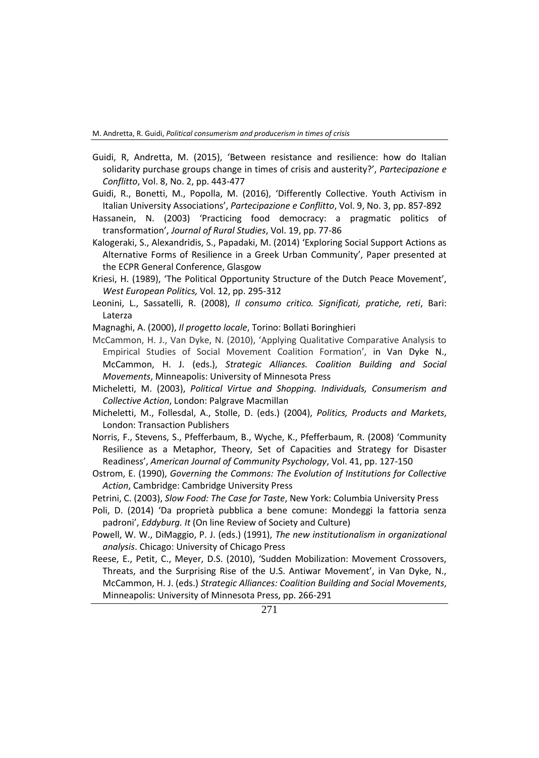- Guidi, R, Andretta, M. (2015), 'Between resistance and resilience: how do Italian solidarity purchase groups change in times of crisis and austerity?', *Partecipazione e Conflitto*, Vol. 8, No. 2, pp. 443-477
- Guidi, R., Bonetti, M., Popolla, M. (2016), 'Differently Collective. Youth Activism in Italian University Associations', *Partecipazione e Conflitto*, Vol. 9, No. 3, pp. 857-892
- Hassanein, N. (2003) 'Practicing food democracy: a pragmatic politics of transformation', *Journal of Rural Studies*, Vol. 19, pp. 77-86
- Kalogeraki, S., Alexandridis, S., Papadaki, M. (2014) 'Exploring Social Support Actions as Alternative Forms of Resilience in a Greek Urban Community', Paper presented at the ECPR General Conference, Glasgow
- Kriesi, H. (1989), 'The Political Opportunity Structure of the Dutch Peace Movement', *West European Politics,* Vol. 12, pp. 295-312
- Leonini, L., Sassatelli, R. (2008), *Il consumo critico. Significati, pratiche, reti*, Bari: Laterza
- Magnaghi, A. (2000), *Il progetto locale*, Torino: Bollati Boringhieri
- McCammon, H. J., Van Dyke, N. (2010), 'Applying Qualitative Comparative Analysis to Empirical Studies of Social Movement Coalition Formation', in Van Dyke N., McCammon, H. J. (eds.), *Strategic Alliances. Coalition Building and Social Movements*, Minneapolis: University of Minnesota Press
- Micheletti, M. (2003), *Political Virtue and Shopping. Individuals, Consumerism and Collective Action*, London: Palgrave Macmillan
- Micheletti, M., Follesdal, A., Stolle, D. (eds.) (2004), *Politics, Products and Markets*, London: Transaction Publishers
- Norris, F., Stevens, S., Pfefferbaum, B., Wyche, K., Pfefferbaum, R. (2008) 'Community Resilience as a Metaphor, Theory, Set of Capacities and Strategy for Disaster Readiness', *American Journal of Community Psychology*, Vol. 41, pp. 127-150
- Ostrom, E. (1990), *Governing the Commons: The Evolution of Institutions for Collective Action*, Cambridge: Cambridge University Press
- Petrini, C. (2003), *Slow Food: The Case for Taste*, New York: Columbia University Press
- Poli, D. (2014) 'Da proprietà pubblica a bene comune: Mondeggi la fattoria senza padroni', *Eddyburg. It* (On line Review of Society and Culture)
- Powell, W. W., DiMaggio, P. J. (eds.) (1991), *The new institutionalism in organizational analysis*. Chicago: University of Chicago Press
- Reese, E., Petit, C., Meyer, D.S. (2010), 'Sudden Mobilization: Movement Crossovers, Threats, and the Surprising Rise of the U.S. Antiwar Movement', in Van Dyke, N., McCammon, H. J. (eds.) *Strategic Alliances: Coalition Building and Social Movements*, Minneapolis: University of Minnesota Press, pp. 266-291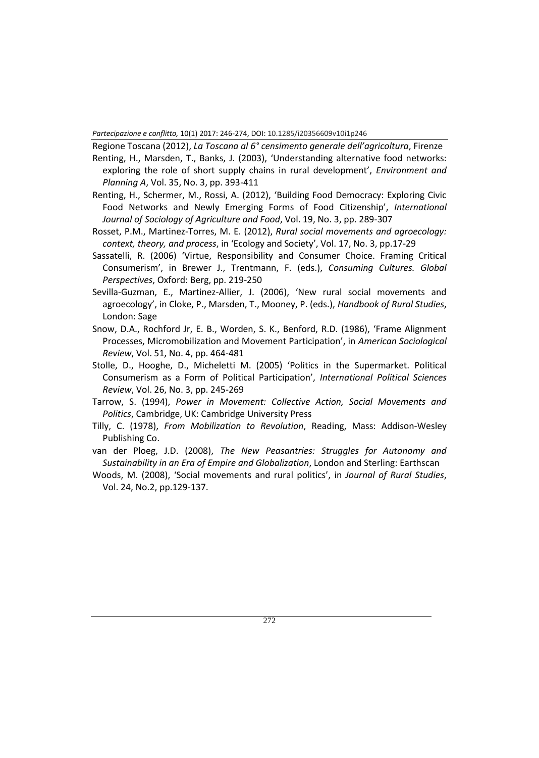Regione Toscana (2012), *La Toscana al 6° censimento generale dell'agricoltura*, Firenze

- Renting, H., Marsden, T., Banks, J. (2003), 'Understanding alternative food networks: exploring the role of short supply chains in rural development', *Environment and Planning A*, Vol. 35, No. 3, pp. 393-411
- Renting, H., Schermer, M., Rossi, A. (2012), 'Building Food Democracy: Exploring Civic Food Networks and Newly Emerging Forms of Food Citizenship', *International Journal of Sociology of Agriculture and Food*, Vol. 19, No. 3, pp. 289-307
- Rosset, P.M., Martinez-Torres, M. E. (2012), *Rural social movements and agroecology: context, theory, and process*, in 'Ecology and Society', Vol. 17, No. 3, pp.17-29
- Sassatelli, R. (2006) 'Virtue, Responsibility and Consumer Choice. Framing Critical Consumerism', in Brewer J., Trentmann, F. (eds.), *Consuming Cultures. Global Perspectives*, Oxford: Berg, pp. 219-250
- Sevilla-Guzman, E., Martinez-Allier, J. (2006), 'New rural social movements and agroecology', in Cloke, P., Marsden, T., Mooney, P. (eds.), *Handbook of Rural Studies*, London: Sage
- Snow, D.A., Rochford Jr, E. B., Worden, S. K., Benford, R.D. (1986), 'Frame Alignment Processes, Micromobilization and Movement Participation', in *American Sociological Review*, Vol. 51, No. 4, pp. 464-481
- Stolle, D., Hooghe, D., Micheletti M. (2005) 'Politics in the Supermarket. Political Consumerism as a Form of Political Participation', *International Political Sciences Review*, Vol. 26, No. 3, pp. 245-269
- Tarrow, S. (1994), *Power in Movement: Collective Action, Social Movements and Politics*, Cambridge, UK: Cambridge University Press
- Tilly, C. (1978), *From Mobilization to Revolution*, Reading, Mass: Addison-Wesley Publishing Co.
- van der Ploeg, J.D. (2008), *The New Peasantries: Struggles for Autonomy and Sustainability in an Era of Empire and Globalization*, London and Sterling: Earthscan
- Woods, M. (2008), 'Social movements and rural politics', in *Journal of Rural Studies*, Vol. 24, No.2, pp.129-137.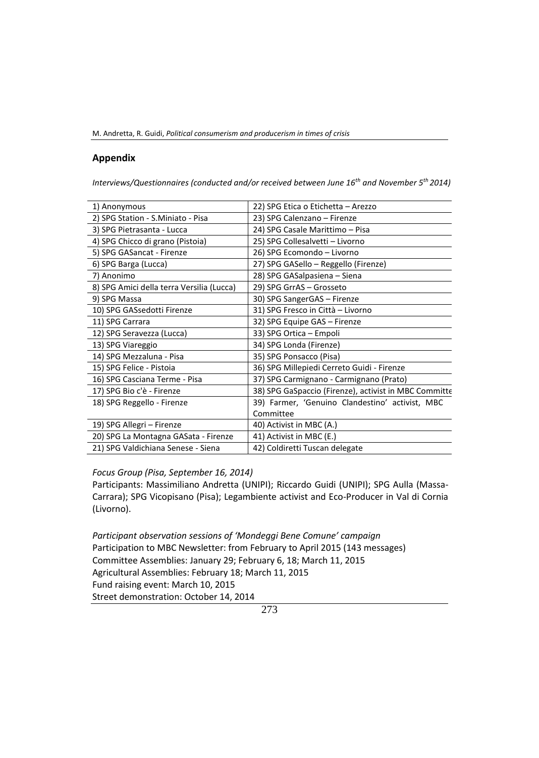M. Andretta, R. Guidi, *Political consumerism and producerism in times of crisis*

## **Appendix**

*Interviews/Questionnaires (conducted and/or received between June 16th and November 5th 2014)*

| 1) Anonymous                              | 22) SPG Etica o Etichetta - Arezzo                    |
|-------------------------------------------|-------------------------------------------------------|
| 2) SPG Station - S.Miniato - Pisa         | 23) SPG Calenzano - Firenze                           |
| 3) SPG Pietrasanta - Lucca                | 24) SPG Casale Marittimo - Pisa                       |
| 4) SPG Chicco di grano (Pistoia)          | 25) SPG Collesalvetti - Livorno                       |
| 5) SPG GASancat - Firenze                 | 26) SPG Ecomondo - Livorno                            |
| 6) SPG Barga (Lucca)                      | 27) SPG GASello - Reggello (Firenze)                  |
| 7) Anonimo                                | 28) SPG GASalpasiena - Siena                          |
| 8) SPG Amici della terra Versilia (Lucca) | 29) SPG GrrAS - Grosseto                              |
| 9) SPG Massa                              | 30) SPG SangerGAS - Firenze                           |
| 10) SPG GASsedotti Firenze                | 31) SPG Fresco in Città - Livorno                     |
| 11) SPG Carrara                           | 32) SPG Equipe GAS - Firenze                          |
| 12) SPG Seravezza (Lucca)                 | 33) SPG Ortica - Empoli                               |
| 13) SPG Viareggio                         | 34) SPG Londa (Firenze)                               |
| 14) SPG Mezzaluna - Pisa                  | 35) SPG Ponsacco (Pisa)                               |
| 15) SPG Felice - Pistoia                  | 36) SPG Millepiedi Cerreto Guidi - Firenze            |
| 16) SPG Casciana Terme - Pisa             | 37) SPG Carmignano - Carmignano (Prato)               |
| 17) SPG Bio c'è - Firenze                 | 38) SPG GaSpaccio (Firenze), activist in MBC Committe |
| 18) SPG Reggello - Firenze                | 39) Farmer, 'Genuino Clandestino' activist, MBC       |
|                                           | Committee                                             |
| 19) SPG Allegri - Firenze                 | 40) Activist in MBC (A.)                              |
| 20) SPG La Montagna GASata - Firenze      | 41) Activist in MBC (E.)                              |
| 21) SPG Valdichiana Senese - Siena        | 42) Coldiretti Tuscan delegate                        |
|                                           |                                                       |

#### *Focus Group (Pisa, September 16, 2014)*

Participants: Massimiliano Andretta (UNIPI); Riccardo Guidi (UNIPI); SPG Aulla (Massa-Carrara); SPG Vicopisano (Pisa); Legambiente activist and Eco-Producer in Val di Cornia (Livorno).

*Participant observation sessions of 'Mondeggi Bene Comune' campaign* Participation to MBC Newsletter: from February to April 2015 (143 messages) Committee Assemblies: January 29; February 6, 18; March 11, 2015 Agricultural Assemblies: February 18; March 11, 2015 Fund raising event: March 10, 2015 Street demonstration: October 14, 2014